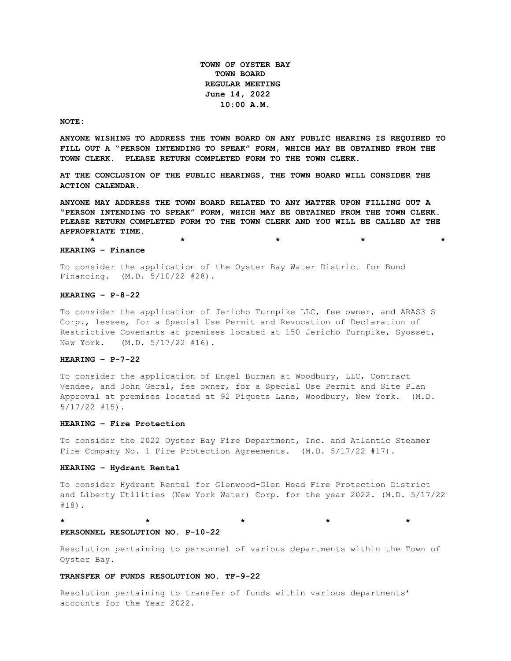**TOWN OF OYSTER BAY TOWN BOARD REGULAR MEETING June 14, 2022 10:00 A.M.** 

#### **NOTE:**

**ANYONE WISHING TO ADDRESS THE TOWN BOARD ON ANY PUBLIC HEARING IS REQUIRED TO FILL OUT A "PERSON INTENDING TO SPEAK" FORM, WHICH MAY BE OBTAINED FROM THE TOWN CLERK. PLEASE RETURN COMPLETED FORM TO THE TOWN CLERK.**

**AT THE CONCLUSION OF THE PUBLIC HEARINGS, THE TOWN BOARD WILL CONSIDER THE ACTION CALENDAR.**

**ANYONE MAY ADDRESS THE TOWN BOARD RELATED TO ANY MATTER UPON FILLING OUT A "PERSON INTENDING TO SPEAK" FORM, WHICH MAY BE OBTAINED FROM THE TOWN CLERK. PLEASE RETURN COMPLETED FORM TO THE TOWN CLERK AND YOU WILL BE CALLED AT THE APPROPRIATE TIME.**

**\* \* \* \* \***

#### **HEARING – Finance**

To consider the application of the Oyster Bay Water District for Bond Financing. (M.D. 5/10/22 #28).

#### **HEARING – P-8-22**

To consider the application of Jericho Turnpike LLC, fee owner, and ARAS3 S Corp., lessee, for a Special Use Permit and Revocation of Declaration of Restrictive Covenants at premises located at 150 Jericho Turnpike, Syosset, New York. (M.D. 5/17/22 #16).

### **HEARING – P-7-22**

To consider the application of Engel Burman at Woodbury, LLC, Contract Vendee, and John Geral, fee owner, for a Special Use Permit and Site Plan Approval at premises located at 92 Piquets Lane, Woodbury, New York. (M.D. 5/17/22 #15).

#### **HEARING – Fire Protection**

To consider the 2022 Oyster Bay Fire Department, Inc. and Atlantic Steamer Fire Company No. 1 Fire Protection Agreements. (M.D. 5/17/22 #17).

### **HEARING – Hydrant Rental**

To consider Hydrant Rental for Glenwood-Glen Head Fire Protection District and Liberty Utilities (New York Water) Corp. for the year 2022. (M.D. 5/17/22 #18).

**\* \* \* \* \*** 

# **PERSONNEL RESOLUTION NO. P-10-22**

Resolution pertaining to personnel of various departments within the Town of Oyster Bay.

#### **TRANSFER OF FUNDS RESOLUTION NO. TF-9-22**

Resolution pertaining to transfer of funds within various departments' accounts for the Year 2022.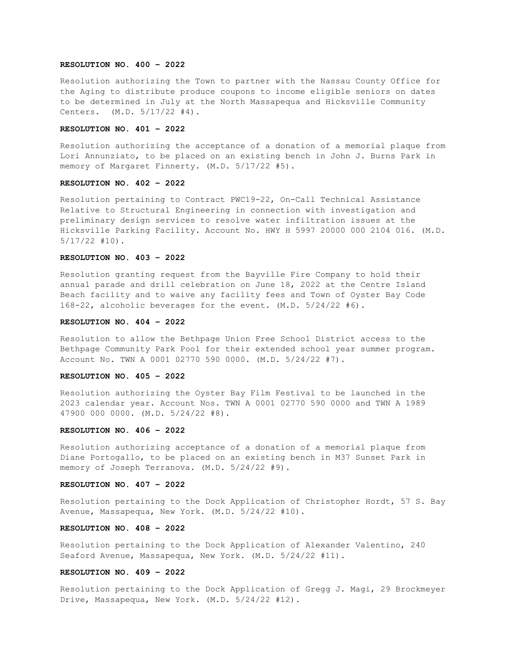### **RESOLUTION NO. 400 – 2022**

Resolution authorizing the Town to partner with the Nassau County Office for the Aging to distribute produce coupons to income eligible seniors on dates to be determined in July at the North Massapequa and Hicksville Community Centers. (M.D. 5/17/22 #4).

# **RESOLUTION NO. 401 – 2022**

Resolution authorizing the acceptance of a donation of a memorial plaque from Lori Annunziato, to be placed on an existing bench in John J. Burns Park in memory of Margaret Finnerty. (M.D. 5/17/22 #5).

# **RESOLUTION NO. 402 – 2022**

Resolution pertaining to Contract PWC19-22, On-Call Technical Assistance Relative to Structural Engineering in connection with investigation and preliminary design services to resolve water infiltration issues at the Hicksville Parking Facility. Account No. HWY H 5997 20000 000 2104 016. (M.D. 5/17/22 #10).

# **RESOLUTION NO. 403 – 2022**

Resolution granting request from the Bayville Fire Company to hold their annual parade and drill celebration on June 18, 2022 at the Centre Island Beach facility and to waive any facility fees and Town of Oyster Bay Code 168-22, alcoholic beverages for the event. (M.D. 5/24/22 #6).

# **RESOLUTION NO. 404 – 2022**

Resolution to allow the Bethpage Union Free School District access to the Bethpage Community Park Pool for their extended school year summer program. Account No. TWN A 0001 02770 590 0000. (M.D. 5/24/22 #7).

# **RESOLUTION NO. 405 – 2022**

Resolution authorizing the Oyster Bay Film Festival to be launched in the 2023 calendar year. Account Nos. TWN A 0001 02770 590 0000 and TWN A 1989 47900 000 0000. (M.D. 5/24/22 #8).

### **RESOLUTION NO. 406 – 2022**

Resolution authorizing acceptance of a donation of a memorial plaque from Diane Portogallo, to be placed on an existing bench in M37 Sunset Park in memory of Joseph Terranova. (M.D. 5/24/22 #9).

#### **RESOLUTION NO. 407 – 2022**

Resolution pertaining to the Dock Application of Christopher Hordt, 57 S. Bay Avenue, Massapequa, New York. (M.D. 5/24/22 #10).

### **RESOLUTION NO. 408 – 2022**

Resolution pertaining to the Dock Application of Alexander Valentino, 240 Seaford Avenue, Massapequa, New York. (M.D. 5/24/22 #11).

#### **RESOLUTION NO. 409 – 2022**

Resolution pertaining to the Dock Application of Gregg J. Magi, 29 Brockmeyer Drive, Massapequa, New York. (M.D. 5/24/22 #12).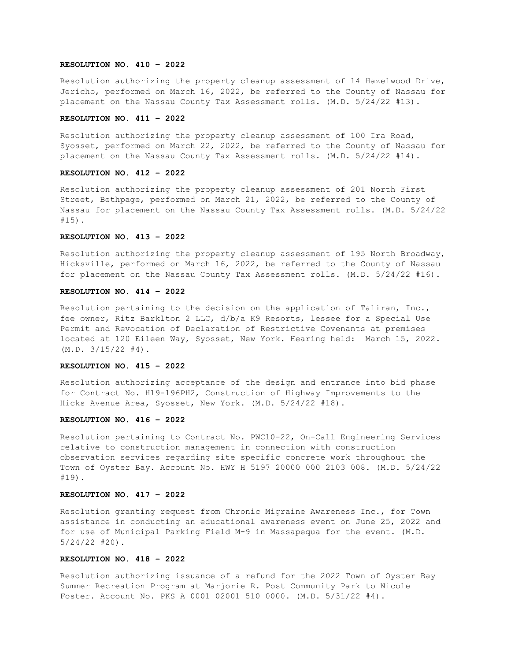### **RESOLUTION NO. 410 – 2022**

Resolution authorizing the property cleanup assessment of 14 Hazelwood Drive, Jericho, performed on March 16, 2022, be referred to the County of Nassau for placement on the Nassau County Tax Assessment rolls. (M.D. 5/24/22 #13).

#### **RESOLUTION NO. 411 – 2022**

Resolution authorizing the property cleanup assessment of 100 Ira Road, Syosset, performed on March 22, 2022, be referred to the County of Nassau for placement on the Nassau County Tax Assessment rolls. (M.D. 5/24/22 #14).

### **RESOLUTION NO. 412 – 2022**

Resolution authorizing the property cleanup assessment of 201 North First Street, Bethpage, performed on March 21, 2022, be referred to the County of Nassau for placement on the Nassau County Tax Assessment rolls. (M.D. 5/24/22 #15).

## **RESOLUTION NO. 413 – 2022**

Resolution authorizing the property cleanup assessment of 195 North Broadway, Hicksville, performed on March 16, 2022, be referred to the County of Nassau for placement on the Nassau County Tax Assessment rolls. (M.D. 5/24/22 #16).

### **RESOLUTION NO. 414 – 2022**

Resolution pertaining to the decision on the application of Taliran, Inc., fee owner, Ritz Barklton 2 LLC, d/b/a K9 Resorts, lessee for a Special Use Permit and Revocation of Declaration of Restrictive Covenants at premises located at 120 Eileen Way, Syosset, New York. Hearing held: March 15, 2022. (M.D. 3/15/22 #4).

#### **RESOLUTION NO. 415 – 2022**

Resolution authorizing acceptance of the design and entrance into bid phase for Contract No. H19-196PH2, Construction of Highway Improvements to the Hicks Avenue Area, Syosset, New York. (M.D. 5/24/22 #18).

#### **RESOLUTION NO. 416 – 2022**

Resolution pertaining to Contract No. PWC10-22, On-Call Engineering Services relative to construction management in connection with construction observation services regarding site specific concrete work throughout the Town of Oyster Bay. Account No. HWY H 5197 20000 000 2103 008. (M.D. 5/24/22 #19).

# **RESOLUTION NO. 417 – 2022**

Resolution granting request from Chronic Migraine Awareness Inc., for Town assistance in conducting an educational awareness event on June 25, 2022 and for use of Municipal Parking Field M-9 in Massapequa for the event. (M.D. 5/24/22 #20).

### **RESOLUTION NO. 418 – 2022**

Resolution authorizing issuance of a refund for the 2022 Town of Oyster Bay Summer Recreation Program at Marjorie R. Post Community Park to Nicole Foster. Account No. PKS A 0001 02001 510 0000. (M.D. 5/31/22 #4).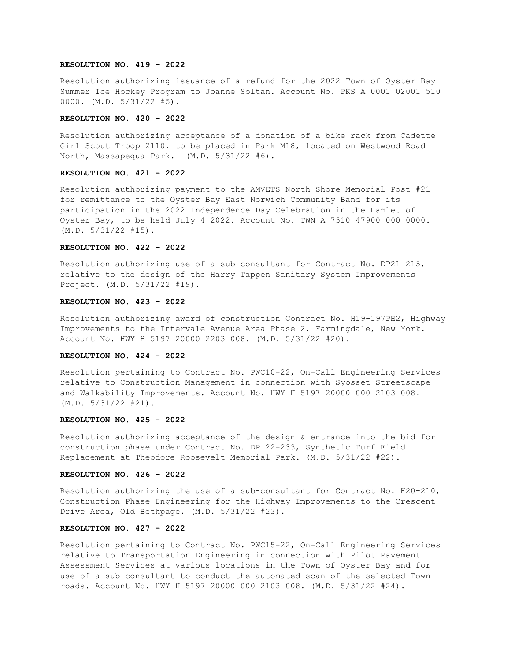### **RESOLUTION NO. 419 – 2022**

Resolution authorizing issuance of a refund for the 2022 Town of Oyster Bay Summer Ice Hockey Program to Joanne Soltan. Account No. PKS A 0001 02001 510 0000. (M.D. 5/31/22 #5).

#### **RESOLUTION NO. 420 – 2022**

Resolution authorizing acceptance of a donation of a bike rack from Cadette Girl Scout Troop 2110, to be placed in Park M18, located on Westwood Road North, Massapequa Park. (M.D. 5/31/22 #6).

### **RESOLUTION NO. 421 – 2022**

Resolution authorizing payment to the AMVETS North Shore Memorial Post #21 for remittance to the Oyster Bay East Norwich Community Band for its participation in the 2022 Independence Day Celebration in the Hamlet of Oyster Bay, to be held July 4 2022. Account No. TWN A 7510 47900 000 0000. (M.D. 5/31/22 #15).

# **RESOLUTION NO. 422 – 2022**

Resolution authorizing use of a sub-consultant for Contract No. DP21-215, relative to the design of the Harry Tappen Sanitary System Improvements Project. (M.D. 5/31/22 #19).

# **RESOLUTION NO. 423 – 2022**

Resolution authorizing award of construction Contract No. H19-197PH2, Highway Improvements to the Intervale Avenue Area Phase 2, Farmingdale, New York. Account No. HWY H 5197 20000 2203 008. (M.D. 5/31/22 #20).

### **RESOLUTION NO. 424 – 2022**

Resolution pertaining to Contract No. PWC10-22, On-Call Engineering Services relative to Construction Management in connection with Syosset Streetscape and Walkability Improvements. Account No. HWY H 5197 20000 000 2103 008. (M.D. 5/31/22 #21).

#### **RESOLUTION NO. 425 – 2022**

Resolution authorizing acceptance of the design & entrance into the bid for construction phase under Contract No. DP 22-233, Synthetic Turf Field Replacement at Theodore Roosevelt Memorial Park. (M.D. 5/31/22 #22).

#### **RESOLUTION NO. 426 – 2022**

Resolution authorizing the use of a sub-consultant for Contract No. H20-210, Construction Phase Engineering for the Highway Improvements to the Crescent Drive Area, Old Bethpage. (M.D. 5/31/22 #23).

# **RESOLUTION NO. 427 – 2022**

Resolution pertaining to Contract No. PWC15-22, On-Call Engineering Services relative to Transportation Engineering in connection with Pilot Pavement Assessment Services at various locations in the Town of Oyster Bay and for use of a sub-consultant to conduct the automated scan of the selected Town roads. Account No. HWY H 5197 20000 000 2103 008. (M.D. 5/31/22 #24).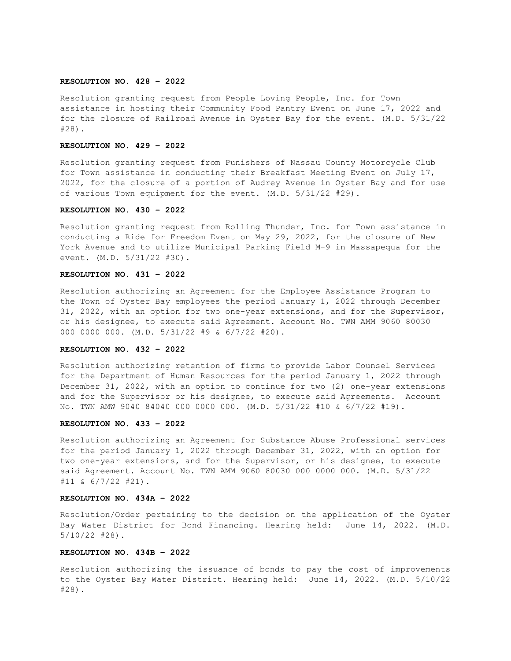### **RESOLUTION NO. 428 – 2022**

Resolution granting request from People Loving People, Inc. for Town assistance in hosting their Community Food Pantry Event on June 17, 2022 and for the closure of Railroad Avenue in Oyster Bay for the event. (M.D. 5/31/22 #28).

### **RESOLUTION NO. 429 – 2022**

Resolution granting request from Punishers of Nassau County Motorcycle Club for Town assistance in conducting their Breakfast Meeting Event on July 17, 2022, for the closure of a portion of Audrey Avenue in Oyster Bay and for use of various Town equipment for the event. (M.D. 5/31/22 #29).

#### **RESOLUTION NO. 430 – 2022**

Resolution granting request from Rolling Thunder, Inc. for Town assistance in conducting a Ride for Freedom Event on May 29, 2022, for the closure of New York Avenue and to utilize Municipal Parking Field M-9 in Massapequa for the event. (M.D. 5/31/22 #30).

### **RESOLUTION NO. 431 – 2022**

Resolution authorizing an Agreement for the Employee Assistance Program to the Town of Oyster Bay employees the period January 1, 2022 through December 31, 2022, with an option for two one-year extensions, and for the Supervisor, or his designee, to execute said Agreement. Account No. TWN AMM 9060 80030 000 0000 000. (M.D. 5/31/22 #9 & 6/7/22 #20).

# **RESOLUTION NO. 432 – 2022**

Resolution authorizing retention of firms to provide Labor Counsel Services for the Department of Human Resources for the period January 1, 2022 through December 31, 2022, with an option to continue for two (2) one-year extensions and for the Supervisor or his designee, to execute said Agreements. Account No. TWN AMW 9040 84040 000 0000 000. (M.D. 5/31/22 #10 & 6/7/22 #19).

#### **RESOLUTION NO. 433 – 2022**

Resolution authorizing an Agreement for Substance Abuse Professional services for the period January 1, 2022 through December 31, 2022, with an option for two one-year extensions, and for the Supervisor, or his designee, to execute said Agreement. Account No. TWN AMM 9060 80030 000 0000 000. (M.D. 5/31/22 #11 & 6/7/22 #21).

### **RESOLUTION NO. 434A – 2022**

Resolution/Order pertaining to the decision on the application of the Oyster Bay Water District for Bond Financing. Hearing held: June 14, 2022. (M.D. 5/10/22 #28).

### **RESOLUTION NO. 434B – 2022**

Resolution authorizing the issuance of bonds to pay the cost of improvements to the Oyster Bay Water District. Hearing held: June 14, 2022. (M.D. 5/10/22 #28).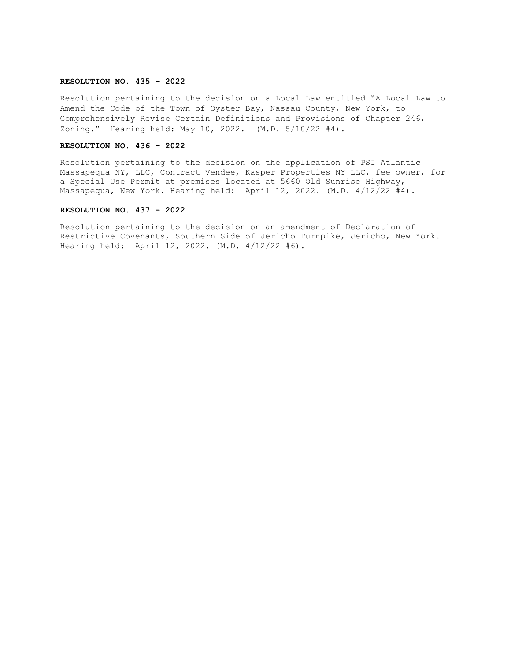### **RESOLUTION NO. 435 – 2022**

Resolution pertaining to the decision on a Local Law entitled "A Local Law to Amend the Code of the Town of Oyster Bay, Nassau County, New York, to Comprehensively Revise Certain Definitions and Provisions of Chapter 246, Zoning." Hearing held: May 10, 2022. (M.D. 5/10/22 #4).

#### **RESOLUTION NO. 436 – 2022**

Resolution pertaining to the decision on the application of PSI Atlantic Massapequa NY, LLC, Contract Vendee, Kasper Properties NY LLC, fee owner, for a Special Use Permit at premises located at 5660 Old Sunrise Highway, Massapequa, New York. Hearing held: April 12, 2022. (M.D. 4/12/22 #4).

### **RESOLUTION NO. 437 – 2022**

Resolution pertaining to the decision on an amendment of Declaration of Restrictive Covenants, Southern Side of Jericho Turnpike, Jericho, New York. Hearing held: April 12, 2022. (M.D. 4/12/22 #6).